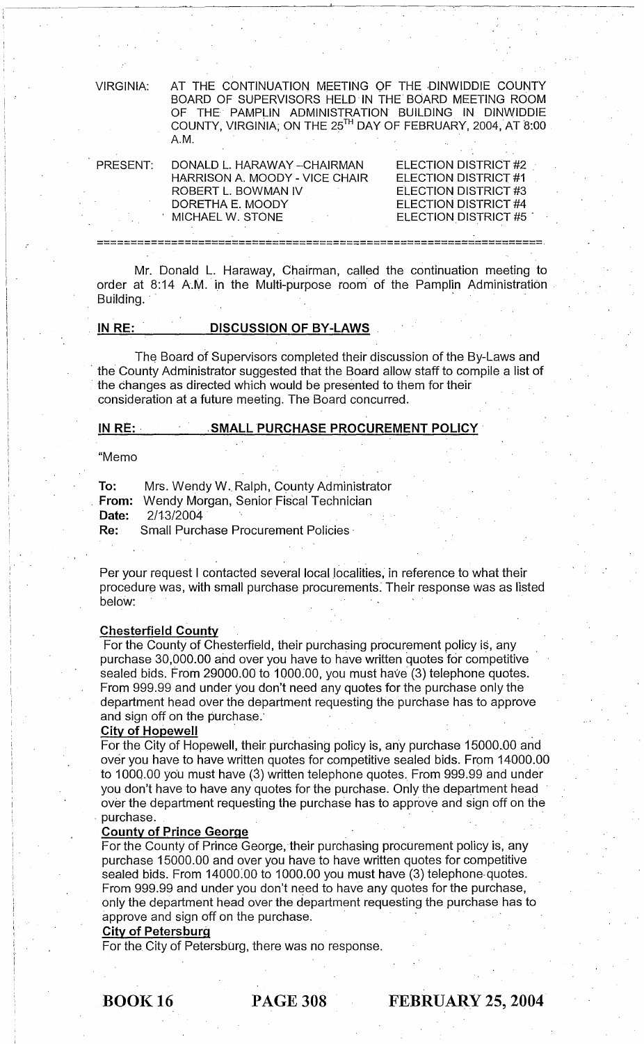VIRGINIA: AT THE CONTINUATION MEETING OF THE DINWIDDIE COUNTY BOARD OF SUPERVISORS HELD ·IN THE BOARD MEETING ROOM OF THE PAMPLIN ADMINISTRATION BUILDING IN DINWIDDIE COUNTY, VIRGINIA, ON THE 25<sup>TH</sup> DAY OF FEBRUARY, 2004, AT 8:00 A.M.

PRESENT: DONALD L. HARAWAY -- CHAIRMAN HARRISON A. MOODY - VICE CHAIR ROBERT L. BOWMAN IV DORETHA E. MOODY MICHAEL W. STONE

ELECTION DISTRICT #2 , ELECTION DISTRICT #1 ELECTION DISTRICT #3 ELECTION DISTRICT #4 ELECTION DISTRICT #5 .

Mr. Donald L. Haraway, Chairman, called the continuation meeting to order at 8:14 A.M. in the Multi-purpose room' of the Pamplin Administration Building.

**==================================================================.** 

## **IN RE: DISCUSSION OF BY-LAWS**

The Board of Supervisors completed their discussion of the By-Laws and the County Administrator suggested that the Board allow staff to compile a list of the changes as directed which would be presented to them for their consideration at a future meeting. The Board concurred.

#### IN RE: **SMALL PURCHASE PROCUREMENT POLICY**

"Memo

| To: | Mrs. Wendy W. Ralph, County Administrator    |
|-----|----------------------------------------------|
|     | From: Wendy Morgan, Senior Fiscal Technician |
|     | Date: 2/13/2004                              |
| Re: | Small Purchase Procurement Policies          |

Per your request I contacted several local localities, in reference to what their procedure was, with small purchase procurements. Their response was as listed below:

## **Chesterfield County**

For the County of Chesterfield, their purchasing procurement policy is, any purchase 30,000.00 and over you have to have written quotes for competitive sealed bids. From 29000.00 to 1000.00, you must have (3) telephone quotes. From 999.99 and under you don't need any quotes for the purchase only the department head over the department requesting the purchase has to approve and sign off on the purchase.

#### **City of Hopewell**

For the City of Hopewell, their purchasing policy is, any purchase 15000.00 and over you have to have written quotes for competitive sealed bids. From 14000.00 to 1000.00 you must have (3) written telephone quotes. From 999.99 and under you don't have to have any quotes for the purchase. Only the department head over the department requesting the purchase has to approve and sign off on the purchase.

#### **County of Prince George**

For the County of Prince George, their purchasing procurement policy is, any purchase 15000.00 and over you have to have written quotes for competitive sealed bids. From 14000:00 to 1000.00 you must have (3) telephone-quotes. From 999.99 and under you don't need to have any quotes for the purchase, only the department head over the department requesting the purchase has to approve and sign off on the purchase.

## **City of Petersburg**

For the, City of Petersburg, there was no response.

BOOK 16 PAGE 308 **FEBRUARY 25, 2004**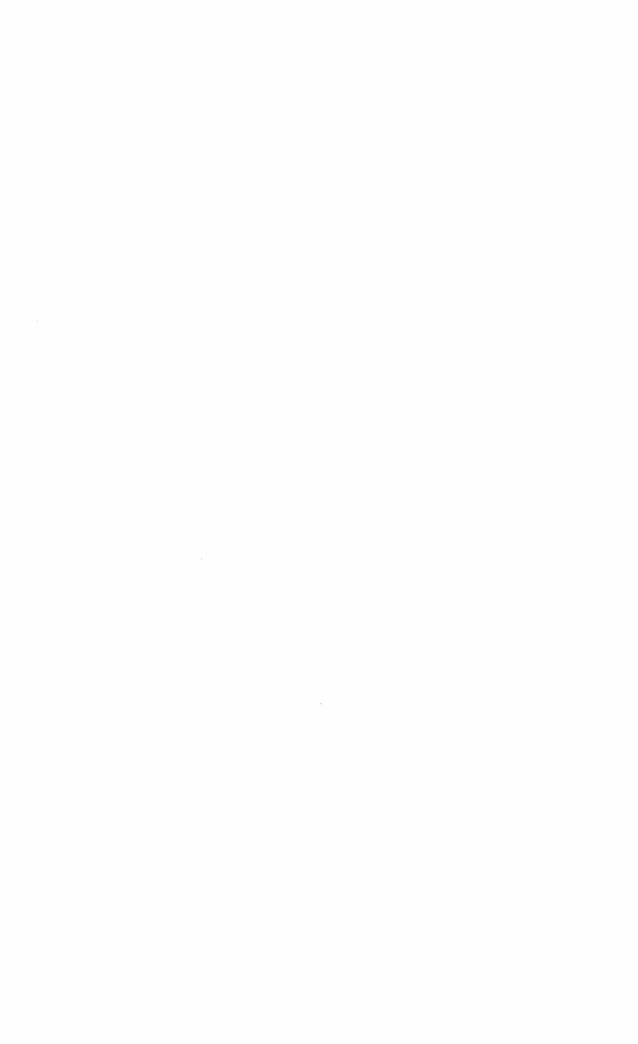$\label{eq:2.1} \frac{1}{\sqrt{2}}\sum_{i=1}^n\frac{1}{\sqrt{2}}\sum_{i=1}^n\frac{1}{\sqrt{2}}\sum_{i=1}^n\frac{1}{\sqrt{2}}\sum_{i=1}^n\frac{1}{\sqrt{2}}\sum_{i=1}^n\frac{1}{\sqrt{2}}\sum_{i=1}^n\frac{1}{\sqrt{2}}\sum_{i=1}^n\frac{1}{\sqrt{2}}\sum_{i=1}^n\frac{1}{\sqrt{2}}\sum_{i=1}^n\frac{1}{\sqrt{2}}\sum_{i=1}^n\frac{1}{\sqrt{2}}\sum_{i=1}^n\frac$ 

 $\label{eq:2.1} \frac{1}{\sqrt{2}}\int_{\mathbb{R}^3}\frac{1}{\sqrt{2}}\left(\frac{1}{\sqrt{2}}\right)^2\frac{1}{\sqrt{2}}\left(\frac{1}{\sqrt{2}}\right)^2\frac{1}{\sqrt{2}}\left(\frac{1}{\sqrt{2}}\right)^2\frac{1}{\sqrt{2}}\left(\frac{1}{\sqrt{2}}\right)^2.$ 

 $\label{eq:2.1} \frac{1}{\sqrt{2}}\int_{\mathbb{R}^3}\frac{1}{\sqrt{2}}\left(\frac{1}{\sqrt{2}}\right)^2\frac{1}{\sqrt{2}}\left(\frac{1}{\sqrt{2}}\right)^2\frac{1}{\sqrt{2}}\left(\frac{1}{\sqrt{2}}\right)^2\frac{1}{\sqrt{2}}\left(\frac{1}{\sqrt{2}}\right)^2\frac{1}{\sqrt{2}}\left(\frac{1}{\sqrt{2}}\right)^2\frac{1}{\sqrt{2}}\frac{1}{\sqrt{2}}\frac{1}{\sqrt{2}}\frac{1}{\sqrt{2}}\frac{1}{\sqrt{2}}\frac{1}{\sqrt{2}}$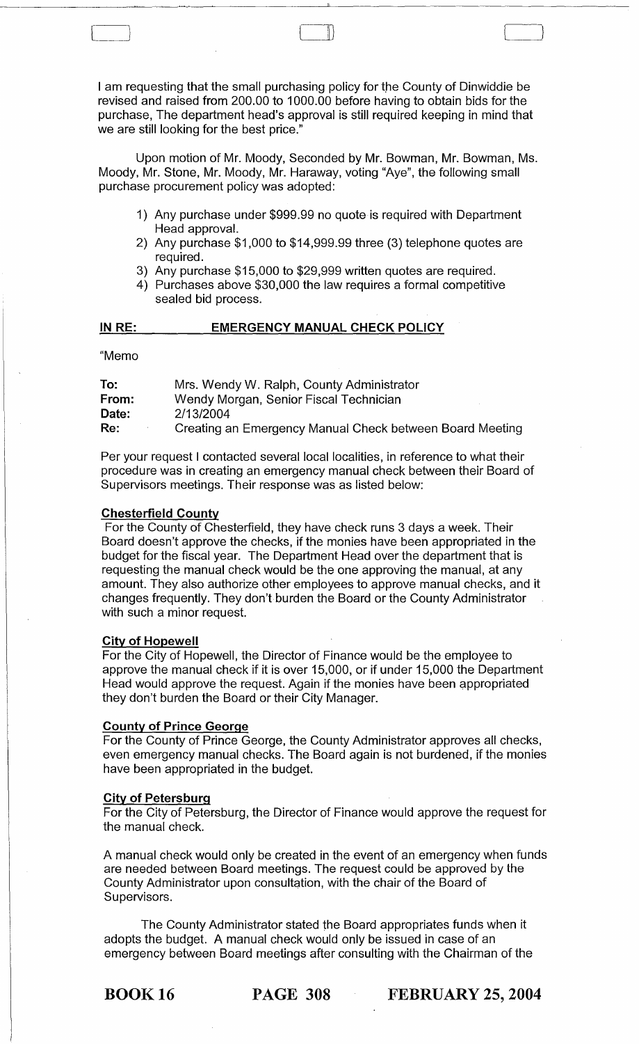I am requesting that the small purchasing policy for the County of Dinwiddie be revised and raised from 200.00 to 1000.00 before having to obtain bids for the purchase, The department head's approval is still required keeping in mind that we are still looking for the best price."

Upon motion of Mr. Moody, Seconded by Mr. Bowman, Mr. Bowman, Ms. Moody, Mr. Stone, Mr. Moody, Mr. Haraway, voting "Aye", the following small purchase procurement policy was adopted:

- 1) Any purchase under \$999.99 no quote is required with Department Head approval.
- 2) Any purchase \$1,000 to \$14,999.99 three (3) telephone quotes are required.
- 3) Any purchase \$15,000 to \$29,999 written quotes are required.
- 4) Purchases above \$30,000 the law requires a formal competitive sealed bid process.

#### **IN RE: EMERGENCY MANUAL CHECK POLICY**

"Memo

| To:   | Mrs. Wendy W. Ralph, County Administrator                |
|-------|----------------------------------------------------------|
| From: | Wendy Morgan, Senior Fiscal Technician                   |
| Date: | 2/13/2004                                                |
| Re:   | Creating an Emergency Manual Check between Board Meeting |

Per your request I contacted several local localities, in reference to what their procedure was in creating an emergency manual check between their Board of Supervisors meetings. Their response was as listed below:

## **Chesterfield County**

For the County of Chesterfield, they have check runs 3 days a week. Their Board doesn't approve the checks, if the monies have been appropriated in the budget for the fiscal year. The Department Head over the department that is requesting the manual check would be the one approving the manual, at any amount. They also authorize other employees to approve manual checks, and it changes frequently. They don't burden the Board or the County Administrator with such a minor request.

#### **City of Hopewell**

For the City of Hopewell, the Director of Finance would be the employee to approve the manual check if it is over 15,000, or if under 15,000 the Department Head would approve the request. Again if the monies have been appropriated they don't burden the Board or their City Manager.

## **County of Prince George**

For the County of Prince George, the County Administrator approves all checks, even emergency manual checks. The Board again is not burdened, if the monies have been appropriated in the budget.

#### **City of Petersburg**

For the City of Petersburg, the Director of Finance would approve the request for the manual check.

A manual check would only be created in the event of an emergency when funds are needed between Board meetings. The request could be approved by the County Administrator upon consultqtion, with the chair of the Board of Supervisors.

The County Administrator stated the Board appropriates funds when it adopts the budget. A manual check would only be issued in case of an emergency between Board meetings after consulting with the Chairman of the

BOOK 16 **PAGE 308 FEBRUARY 25, 2004**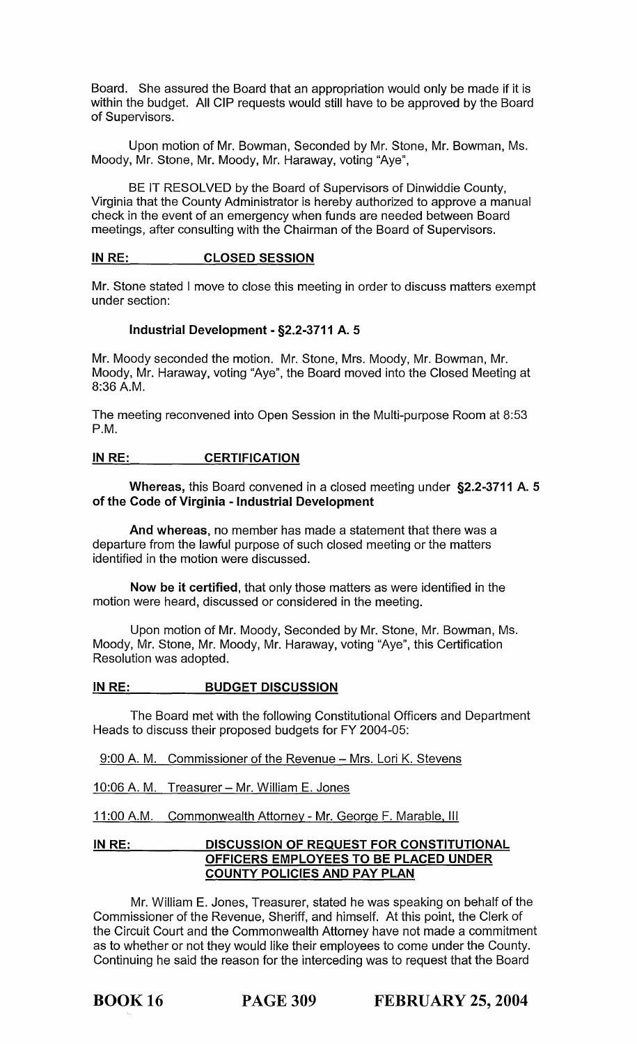Board. She assured the Board that an appropriation would only be made if it is within the budget. All CIP requests would still have to be approved by the Board of Supervisors.

Upon motion of Mr. Bowman, Seconded by Mr. Stone, Mr. Bowman, Ms. Moody, Mr. Stone, Mr. Moody, Mr. Haraway, voting "Aye",

BE IT RESOLVED by the Board of Supervisors of Dinwiddie County, Virginia that the County Administrator is hereby authorized to approve a manual check in the event of an emergency when funds are needed between Board meetings, after consulting with the Chairman of the Board of Supervisors.

## IN RE: CLOSED SESSION

Mr. Stone stated I move to close this meeting in order to discuss matters exempt under section:

## Industrial Development - §2.2-3711 A. 5

Mr. Moody seconded the motion. Mr. Stone, Mrs. Moody, Mr. Bowman, Mr. Moody, Mr. Haraway, voting "Aye", the Board moved into the Closed Meeting at 8:36 A.M.

The meeting reconvened into Open Session in the Multi-purpose Room at 8:53 P.M.

# IN RE: **CERTIFICATION**

Whereas, this Board convened in a closed meeting under §2.2-3711 A. 5 of the Code of Virginia - Industrial Development

And whereas, no member has made a statement that there was a departure from the lawful purpose of such closed meeting or the matters identified in the motion were discussed.

Now be it certified, that only those matters as were identified in the motion were heard, discussed or considered in the meeting.

Upon motion of Mr. Moody, Seconded by Mr. Stone, Mr. Bowman, Ms. Moody, Mr. Stone, Mr. Moody, Mr. Haraway, voting "Aye", this Certification Resolution was adopted.

## IN RE: BUDGET DISCUSSION

The Board met with the following Constitutional Officers and Department Heads to discuss their proposed budgets for FY 2004-05:

9:00 A. M. Commissioner of the Revenue - Mrs. Lori K. Stevens

10:06 A. M. Treasurer- Mr. William E. Jones

11:00 A.M. Commonwealth Attorney - Mr. George F. Marable, III

# IN RE: DISCUSSION OF REQUEST FOR CONSTITUTIONAL OFFICERS EMPLOYEES TO BE PLACED UNDER COUNTY POLICIES AND PAY PLAN

Mr. William E. Jones, Treasurer, stated he was speaking on behalf of the Commissioner of the Revenue, Sheriff, and himself. At this point, the Clerk of the Circuit Court and the Commonwealth Attorney have not made a commitment as to whether or not they would like their employees to come under the County. Continuing he said the reason for the interceding was to request that the Board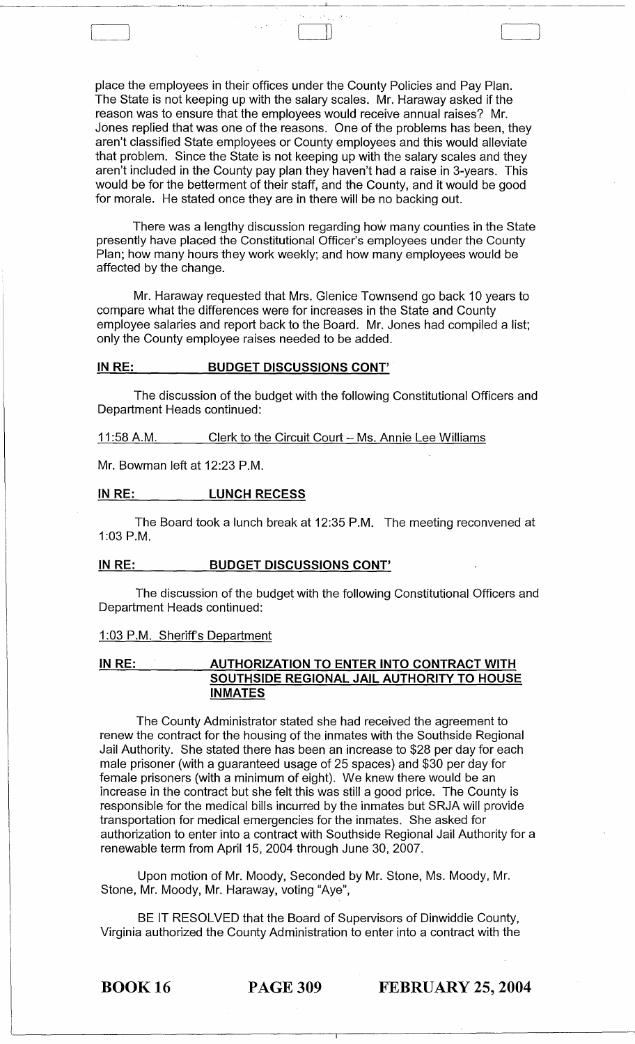place the employees in their offices under the County Policies and Pay Plan. The State is not keeping up with the salary scales. Mr. Haraway asked if the reason was to ensure that the employees would receive annual raises? Mr. Jones replied that was one of the reasons. One of the problems has been, they aren't classified State employees or County employees and this would alleviate that problem. Since the State is not keeping up with the salary scales and they aren't included in the County pay plan they haven't had a raise in 3-years. This would be for the betterment of their staff, and the County, and it would be good for morale. He stated once they are in there will be no backing out.

 $\mathbb{D}$ 

There was a lengthy discussion regarding how many counties in the State presently have placed the Constitutional Officer's employees under the County Plan; how many hours they work weekly; and how many employees would be affected by the change.

Mr. Haraway requested that Mrs. Glenice Townsend go back 10 years to compare what the differences were for increases in the State and County employee salaries and report back to the Board. Mr. Jones had compiled a list; only the County employee raises needed to be added.

#### IN RE: BUDGET DISCUSSIONS CONT'

The discussion of the budget with the following Constitutional Officers and Department Heads continued:

11:58 A.M. Clerk to the Circuit Court - Ms. Annie Lee Williams

Mr. Bowman left at 12:23 P.M.

#### IN RE: LUNCH RECESS

The Board took a lunch break at 12:35 P.M. The meeting reconvened at 1 :03 P.M.

#### IN RE: BUDGET DISCUSSIONS CONT'

The discussion of the budget with the following Constitutional Officers and Department Heads continued:

## 1:03 P.M. Sheriff's Department

The County Administrator stated she had received the agreement to renew the contract for the housing of the inmates with the Southside Regional Jail Authority. She stated there has been an increase to \$28 per day for each male prisoner (with a guaranteed usage of 25 spaces) and \$30 per day for female prisoners (with a minimum of eight). We knew there would be an increase in the contract but she felt this was still a good price. The County is responsible for the medical bills incurred by the inmates but SRJA will provide transportation for medical emergencies for the inmates. She asked for authorization to enter into a contract with Southside Regional Jail Authority for a renewable term from April 15, 2004 through June 30, 2007.

Upon motion of Mr. Moody, Seconded by Mr. Stone, Ms. Moody, Mr. Stone, Mr. Moody, Mr. Haraway, voting "Aye",

BE IT RESOLVED that the Board of Supervisors of Dinwiddie County, Virginia authorized the County Administration to enter into a contract with the

BOOK 16 PAGE 309 FEBRUARY 25, 2004

IN RE: AUTHORIZATION TO ENTER INTO CONTRACT WITH SOUTHSIDE REGIONAL JAIL AUTHORITY TO HOUSE INMATES